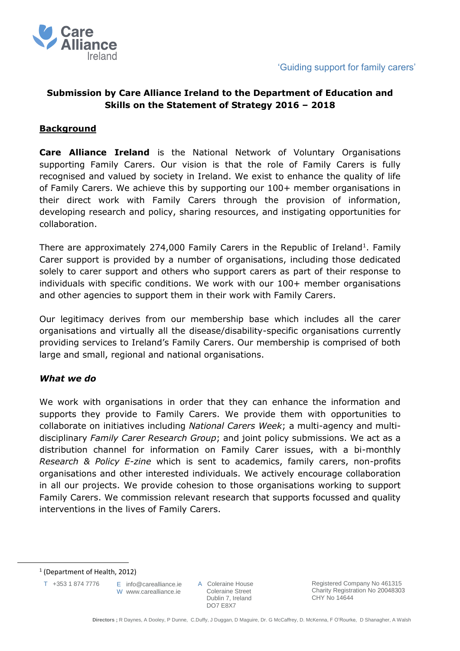

# **Submission by Care Alliance Ireland to the Department of Education and Skills on the Statement of Strategy 2016 – 2018**

### **Background**

**Care Alliance Ireland** is the National Network of Voluntary Organisations supporting Family Carers. Our vision is that the role of Family Carers is fully recognised and valued by society in Ireland. We exist to enhance the quality of life of Family Carers. We achieve this by supporting our 100+ member organisations in their direct work with Family Carers through the provision of information, developing research and policy, sharing resources, and instigating opportunities for collaboration.

There are approximately 274,000 Family Carers in the Republic of Ireland<sup>1</sup>. Family Carer support is provided by a number of organisations, including those dedicated solely to carer support and others who support carers as part of their response to individuals with specific conditions. We work with our 100+ member organisations and other agencies to support them in their work with Family Carers.

Our legitimacy derives from our membership base which includes all the carer organisations and virtually all the disease/disability-specific organisations currently providing services to Ireland's Family Carers. Our membership is comprised of both large and small, regional and national organisations.

#### *What we do*

We work with organisations in order that they can enhance the information and supports they provide to Family Carers. We provide them with opportunities to collaborate on initiatives including *National Carers Week*; a multi-agency and multidisciplinary *Family Carer Research Group*; and joint policy submissions. We act as a distribution channel for information on Family Carer issues, with a bi-monthly *Research & Policy E-zine* which is sent to academics, family carers, non-profits organisations and other interested individuals. We actively encourage collaboration in all our projects. We provide cohesion to those organisations working to support Family Carers. We commission relevant research that supports focussed and quality interventions in the lives of Family Carers.

T +353 1 874 7776

 $\overline{a}$ 

E info@carealliance.ie W www.carealliance.ie

A Coleraine House Coleraine Street Dublin 7, Ireland DO7 E8X7

<sup>1</sup> (Department of Health, 2012)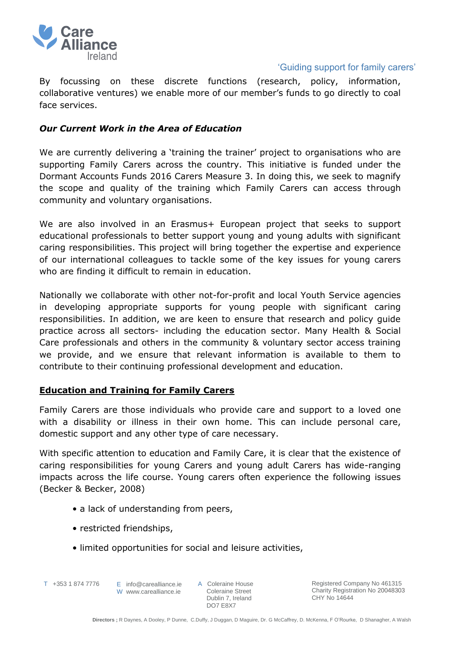

By focussing on these discrete functions (research, policy, information, collaborative ventures) we enable more of our member's funds to go directly to coal face services.

#### *Our Current Work in the Area of Education*

We are currently delivering a 'training the trainer' project to organisations who are supporting Family Carers across the country. This initiative is funded under the Dormant Accounts Funds 2016 Carers Measure 3. In doing this, we seek to magnify the scope and quality of the training which Family Carers can access through community and voluntary organisations.

We are also involved in an Erasmus+ European project that seeks to support educational professionals to better support young and young adults with significant caring responsibilities. This project will bring together the expertise and experience of our international colleagues to tackle some of the key issues for young carers who are finding it difficult to remain in education.

Nationally we collaborate with other not-for-profit and local Youth Service agencies in developing appropriate supports for young people with significant caring responsibilities. In addition, we are keen to ensure that research and policy guide practice across all sectors- including the education sector. Many Health & Social Care professionals and others in the community & voluntary sector access training we provide, and we ensure that relevant information is available to them to contribute to their continuing professional development and education.

#### **Education and Training for Family Carers**

Family Carers are those individuals who provide care and support to a loved one with a disability or illness in their own home. This can include personal care, domestic support and any other type of care necessary.

With specific attention to education and Family Care, it is clear that the existence of caring responsibilities for young Carers and young adult Carers has wide-ranging impacts across the life course. Young carers often experience the following issues (Becker & Becker, 2008)

- a lack of understanding from peers,
- restricted friendships,
- limited opportunities for social and leisure activities,

T +353 1 874 7776

E info@carealliance.ie W www.carealliance.ie

A Coleraine House Coleraine Street Dublin 7, Ireland DO7 E8X7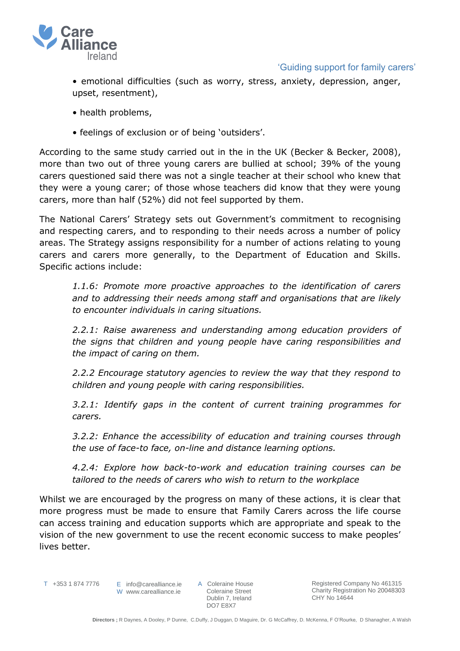

- emotional difficulties (such as worry, stress, anxiety, depression, anger, upset, resentment),
- health problems,
- feelings of exclusion or of being 'outsiders'.

According to the same study carried out in the in the UK (Becker & Becker, 2008), more than two out of three young carers are bullied at school; 39% of the young carers questioned said there was not a single teacher at their school who knew that they were a young carer; of those whose teachers did know that they were young carers, more than half (52%) did not feel supported by them.

The National Carers' Strategy sets out Government's commitment to recognising and respecting carers, and to responding to their needs across a number of policy areas. The Strategy assigns responsibility for a number of actions relating to young carers and carers more generally, to the Department of Education and Skills. Specific actions include:

*1.1.6: Promote more proactive approaches to the identification of carers and to addressing their needs among staff and organisations that are likely to encounter individuals in caring situations.*

*2.2.1: Raise awareness and understanding among education providers of the signs that children and young people have caring responsibilities and the impact of caring on them.*

*2.2.2 Encourage statutory agencies to review the way that they respond to children and young people with caring responsibilities.*

*3.2.1: Identify gaps in the content of current training programmes for carers.*

*3.2.2: Enhance the accessibility of education and training courses through the use of face-to face, on-line and distance learning options.*

*4.2.4: Explore how back-to-work and education training courses can be tailored to the needs of carers who wish to return to the workplace*

Whilst we are encouraged by the progress on many of these actions, it is clear that more progress must be made to ensure that Family Carers across the life course can access training and education supports which are appropriate and speak to the vision of the new government to use the recent economic success to make peoples' lives better.

T +353 1 874 7776

E info@carealliance.ie W www.carealliance.ie

A Coleraine House Coleraine Street Dublin 7, Ireland DO7 E8X7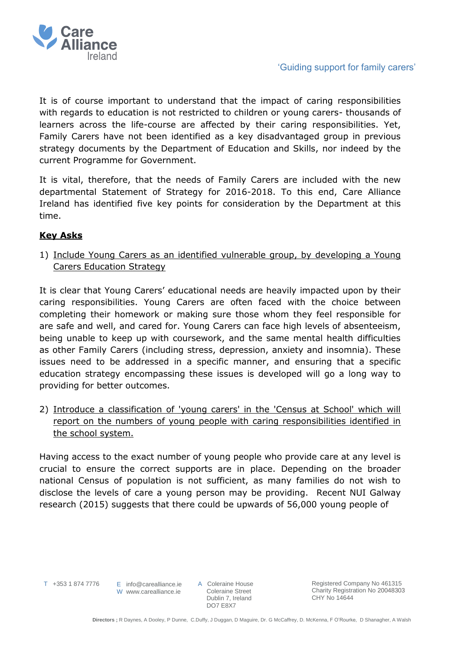

It is of course important to understand that the impact of caring responsibilities with regards to education is not restricted to children or young carers- thousands of learners across the life-course are affected by their caring responsibilities. Yet, Family Carers have not been identified as a key disadvantaged group in previous strategy documents by the Department of Education and Skills, nor indeed by the current Programme for Government.

It is vital, therefore, that the needs of Family Carers are included with the new departmental Statement of Strategy for 2016-2018. To this end, Care Alliance Ireland has identified five key points for consideration by the Department at this time.

# **Key Asks**

1) Include Young Carers as an identified vulnerable group, by developing a Young Carers Education Strategy

It is clear that Young Carers' educational needs are heavily impacted upon by their caring responsibilities. Young Carers are often faced with the choice between completing their homework or making sure those whom they feel responsible for are safe and well, and cared for. Young Carers can face high levels of absenteeism, being unable to keep up with coursework, and the same mental health difficulties as other Family Carers (including stress, depression, anxiety and insomnia). These issues need to be addressed in a specific manner, and ensuring that a specific education strategy encompassing these issues is developed will go a long way to providing for better outcomes.

2) Introduce a classification of 'young carers' in the 'Census at School' which will report on the numbers of young people with caring responsibilities identified in the school system.

Having access to the exact number of young people who provide care at any level is crucial to ensure the correct supports are in place. Depending on the broader national Census of population is not sufficient, as many families do not wish to disclose the levels of care a young person may be providing. Recent NUI Galway research (2015) suggests that there could be upwards of 56,000 young people of

T +353 1 874 7776

E info@carealliance.ie W www.carealliance.ie

A Coleraine House Coleraine Street Dublin 7, Ireland DO7 E8X7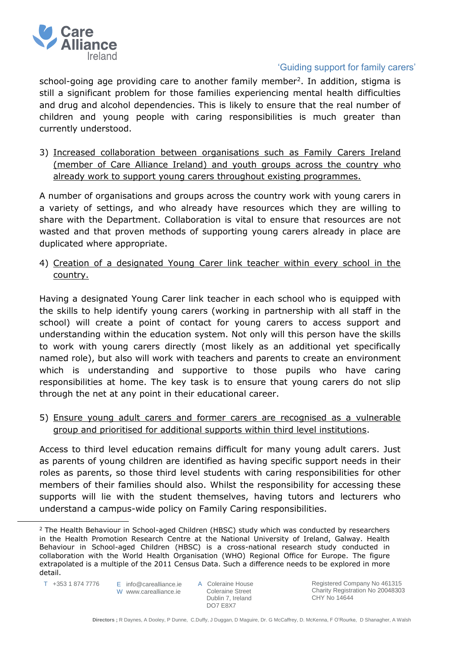

school-going age providing care to another family member<sup>2</sup>. In addition, stigma is still a significant problem for those families experiencing mental health difficulties and drug and alcohol dependencies. This is likely to ensure that the real number of children and young people with caring responsibilities is much greater than currently understood.

3) Increased collaboration between organisations such as Family Carers Ireland (member of Care Alliance Ireland) and youth groups across the country who already work to support young carers throughout existing programmes.

A number of organisations and groups across the country work with young carers in a variety of settings, and who already have resources which they are willing to share with the Department. Collaboration is vital to ensure that resources are not wasted and that proven methods of supporting young carers already in place are duplicated where appropriate.

4) Creation of a designated Young Carer link teacher within every school in the country.

Having a designated Young Carer link teacher in each school who is equipped with the skills to help identify young carers (working in partnership with all staff in the school) will create a point of contact for young carers to access support and understanding within the education system. Not only will this person have the skills to work with young carers directly (most likely as an additional yet specifically named role), but also will work with teachers and parents to create an environment which is understanding and supportive to those pupils who have caring responsibilities at home. The key task is to ensure that young carers do not slip through the net at any point in their educational career.

5) Ensure young adult carers and former carers are recognised as a vulnerable group and prioritised for additional supports within third level institutions.

Access to third level education remains difficult for many young adult carers. Just as parents of young children are identified as having specific support needs in their roles as parents, so those third level students with caring responsibilities for other members of their families should also. Whilst the responsibility for accessing these supports will lie with the student themselves, having tutors and lecturers who understand a campus-wide policy on Family Caring responsibilities.

 $\ddot{\phantom{a}}$ 

E info@carealliance.ie W www.carealliance.ie

A Coleraine House Coleraine Street Dublin 7, Ireland DO7 E8X7

<sup>&</sup>lt;sup>2</sup> The Health Behaviour in School-aged Children (HBSC) study which was conducted by researchers in the Health Promotion Research Centre at the National University of Ireland, Galway. Health Behaviour in School-aged Children (HBSC) is a cross-national research study conducted in collaboration with the World Health Organisation (WHO) Regional Office for Europe. The figure extrapolated is a multiple of the 2011 Census Data. Such a difference needs to be explored in more detail.

T +353 1 874 7776